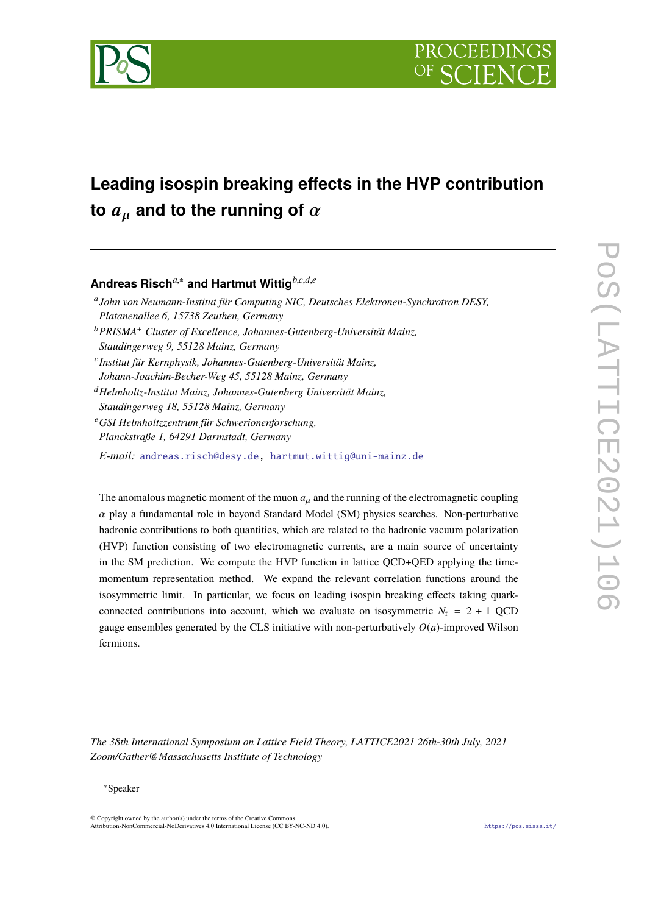

# **Leading isospin breaking effects in the HVP contribution to**  $a_{\mu}$  and to the running of  $\alpha$

# **Andreas Risch***a*,<sup>∗</sup> **and Hartmut Wittig***b*,*c*,*d*,*<sup>e</sup>*

- a *John von Neumann-Institut für Computing NIC, Deutsches Elektronen-Synchrotron DESY, Platanenallee 6, 15738 Zeuthen, Germany*
- <sup>b</sup>*PRISMA*<sup>+</sup> *Cluster of Excellence, Johannes-Gutenberg-Universität Mainz, Staudingerweg 9, 55128 Mainz, Germany*
- c *Institut für Kernphysik, Johannes-Gutenberg-Universität Mainz,*
- *Johann-Joachim-Becher-Weg 45, 55128 Mainz, Germany*
- <sup>d</sup>*Helmholtz-Institut Mainz, Johannes-Gutenberg Universität Mainz, Staudingerweg 18, 55128 Mainz, Germany*
- <sup>e</sup>*GSI Helmholtzzentrum für Schwerionenforschung, Planckstraße 1, 64291 Darmstadt, Germany*
- *E-mail:* [andreas.risch@desy.de,](mailto:andreas.risch@desy.de) [hartmut.wittig@uni-mainz.de](mailto:hartmut.wittig@uni-mainz.de)

The anomalous magnetic moment of the muon  $a<sub>u</sub>$  and the running of the electromagnetic coupling  $\alpha$  play a fundamental role in beyond Standard Model (SM) physics searches. Non-perturbative hadronic contributions to both quantities, which are related to the hadronic vacuum polarization (HVP) function consisting of two electromagnetic currents, are a main source of uncertainty in the SM prediction. We compute the HVP function in lattice QCD+QED applying the timemomentum representation method. We expand the relevant correlation functions around the isosymmetric limit. In particular, we focus on leading isospin breaking effects taking quarkconnected contributions into account, which we evaluate on isosymmetric  $N_f = 2 + 1$  QCD gauge ensembles generated by the CLS initiative with non-perturbatively  $O(a)$ -improved Wilson fermions.

*The 38th International Symposium on Lattice Field Theory, LATTICE2021 26th-30th July, 2021 Zoom/Gather@Massachusetts Institute of Technology*

# <sup>∗</sup>Speaker

<sup>©</sup> Copyright owned by the author(s) under the terms of the Creative Commons Attribution-NonCommercial-NoDerivatives 4.0 International License (CC BY-NC-ND 4.0). <https://pos.sissa.it/>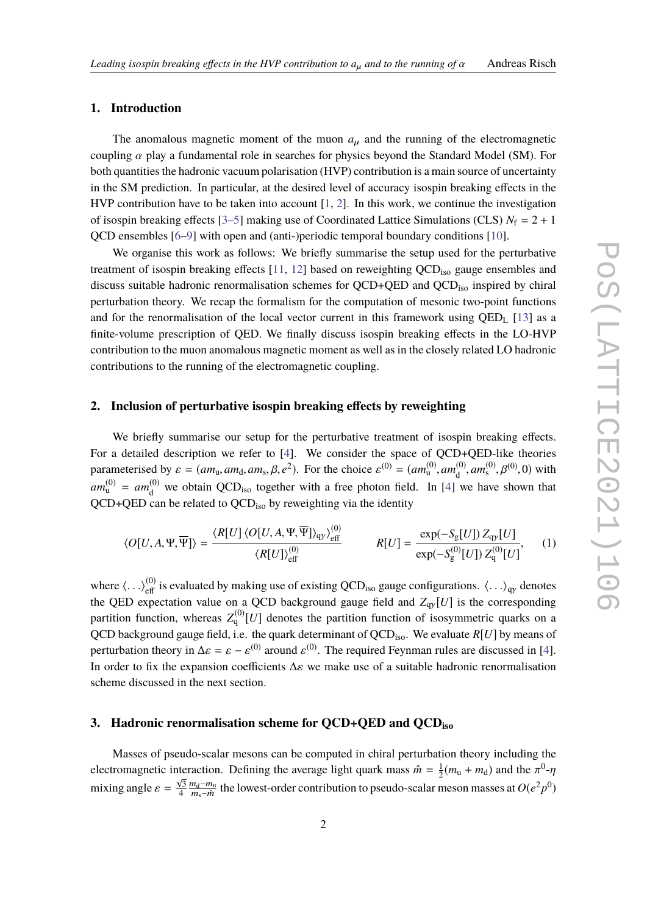# **1. Introduction**

The anomalous magnetic moment of the muon  $a_{\mu}$  and the running of the electromagnetic coupling  $\alpha$  play a fundamental role in searches for physics beyond the Standard Model (SM). For both quantities the hadronic vacuum polarisation (HVP) contribution is a main source of uncertainty in the SM prediction. In particular, at the desired level of accuracy isospin breaking effects in the HVP contribution have to be taken into account [\[1,](#page-8-0) [2\]](#page-8-1). In this work, we continue the investigation of isospin breaking effects  $[3-5]$  $[3-5]$  making use of Coordinated Lattice Simulations (CLS)  $N_f = 2 + 1$ QCD ensembles [\[6](#page-8-4)[–9\]](#page-8-5) with open and (anti-)periodic temporal boundary conditions [\[10\]](#page-8-6).

We organise this work as follows: We briefly summarise the setup used for the perturbative treatment of isospin breaking effects [\[11,](#page-8-7) [12\]](#page-8-8) based on reweighting QCDiso gauge ensembles and discuss suitable hadronic renormalisation schemes for QCD+QED and QCD<sub>iso</sub> inspired by chiral perturbation theory. We recap the formalism for the computation of mesonic two-point functions and for the renormalisation of the local vector current in this framework using  $QED<sub>L</sub>$  [\[13\]](#page-8-9) as a finite-volume prescription of QED. We finally discuss isospin breaking effects in the LO-HVP contribution to the muon anomalous magnetic moment as well as in the closely related LO hadronic contributions to the running of the electromagnetic coupling.

#### **2. Inclusion of perturbative isospin breaking effects by reweighting**

We briefly summarise our setup for the perturbative treatment of isospin breaking effects. For a detailed description we refer to [\[4\]](#page-8-10). We consider the space of QCD+QED-like theories parameterised by  $\varepsilon = (am_u, am_d, am_s, \beta, e^2)$ . For the choice  $\varepsilon^{(0)} = (am_u^{(0)}, am_d^{(0)}$  $d_{\rm d}^{(0)}$ , *am*<sub>s</sub><sup>(0)</sup>, *β*<sup>(0)</sup>, 0) with  $am$ <sup>(0)</sup> =  $am$ <sup>(0)</sup><sub>d</sub>  $d_d^{(0)}$  we obtain QCD<sub>iso</sub> together with a free photon field. In [\[4\]](#page-8-10) we have shown that QCD+QED can be related to QCD<sub>iso</sub> by reweighting via the identity

<span id="page-1-0"></span>
$$
\langle O[U,A,\Psi,\overline{\Psi}]\rangle = \frac{\langle R[U]\,\langle O[U,A,\Psi,\overline{\Psi}]\rangle_{\text{qy}}\rangle_{\text{eff}}^{(0)}}{\langle R[U]\rangle_{\text{eff}}^{(0)}} \qquad R[U] = \frac{\exp(-S_g[U])\,Z_{\text{qy}}[U]}{\exp(-S_g^{(0)}[U])\,Z_{\text{q}}^{(0)}[U]},\qquad(1)
$$

where  $\langle \ldots \rangle_{\text{eff}}^{(0)}$  is evaluated by making use of existing QCD<sub>iso</sub> gauge configurations.  $\langle \ldots \rangle_{\text{qp}}$  denotes the QED expectation value on a QCD background gauge field and  $Z_{qp}[U]$  is the corresponding partition function, whereas  $Z_q^{(0)}[U]$  denotes the partition function of isosymmetric quarks on a QCD background gauge field, i.e. the quark determinant of QCDiso. We evaluate *R*[*U*] by means of perturbation theory in  $\Delta \varepsilon = \varepsilon - \varepsilon^{(0)}$  around  $\varepsilon^{(0)}$ . The required Feynman rules are discussed in [\[4\]](#page-8-10). In order to fix the expansion coefficients  $\Delta \varepsilon$  we make use of a suitable hadronic renormalisation scheme discussed in the next section.

# **3. Hadronic renormalisation scheme for QCD+QED and QCDiso**

Masses of pseudo-scalar mesons can be computed in chiral perturbation theory including the electromagnetic interaction. Defining the average light quark mass  $\hat{m} = \frac{1}{2}$ teraction. Defining the average light quark mass  $\hat{m} = \frac{1}{2}(m_{\rm u} + m_{\rm d})$  and the  $\pi^0 \text{-} \eta$ mixing angle  $\varepsilon = \frac{\sqrt{3}}{4}$ 4 m<sub>d</sub>−m<sub>u</sub>  $\frac{n_d - m_u}{m_s - \hat{m}}$  the lowest-order contribution to pseudo-scalar meson masses at  $O(e^2p^0)$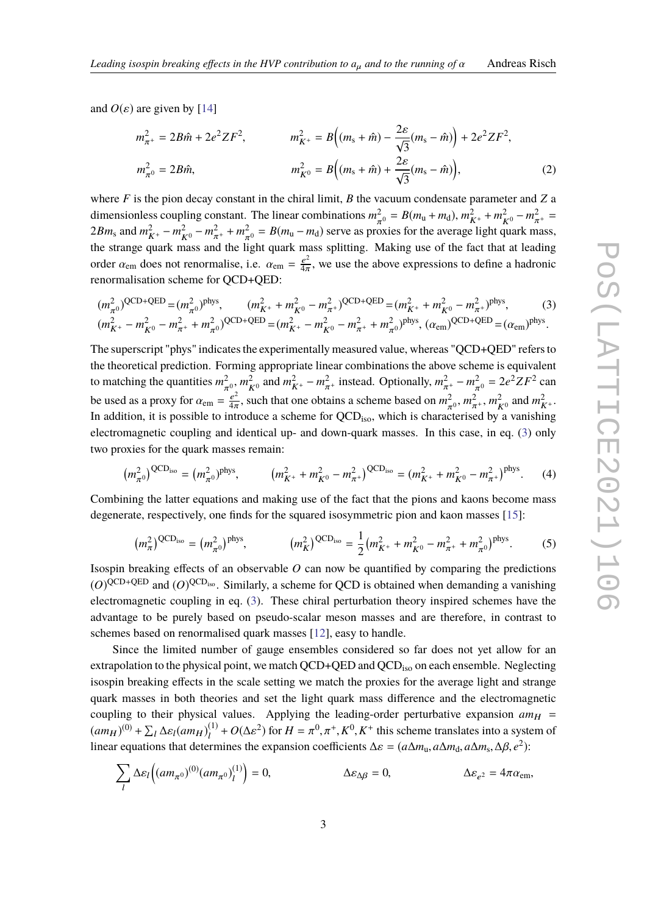and  $O(\varepsilon)$  are given by [\[14\]](#page-8-11)

<span id="page-2-0"></span>
$$
m_{\pi^+}^2 = 2B\hat{m} + 2e^2 ZF^2, \qquad m_{K^+}^2 = B\Big((m_s + \hat{m}) - \frac{2\varepsilon}{\sqrt{3}}(m_s - \hat{m})\Big) + 2e^2 ZF^2,
$$
  

$$
m_{\pi^0}^2 = 2B\hat{m}, \qquad m_{K^0}^2 = B\Big((m_s + \hat{m}) + \frac{2\varepsilon}{\sqrt{3}}(m_s - \hat{m})\Big), \tag{2}
$$

where *F* is the pion decay constant in the chiral limit, *B* the vacuum condensate parameter and *Z* a dimensionless coupling constant. The linear combinations  $m_{\pi^0}^2 = B(m_u + m_d)$ ,  $m_{K^+}^2 + m_{K^0}^2 - m_{\pi^+}^2 =$  $2Bm_s$  and  $m_{K^+}^2 - m_{K^0}^2 - m_{\pi^+}^2 + m_{\pi^0}^2 = B(m_u - m_d)$  serve as proxies for the average light quark mass, the strange quark mass and the light quark mass splitting. Making use of the fact that at leading order  $\alpha_{em}$  does not renormalise, i.e.  $\alpha_{em} = \frac{e^2}{4\pi}$  $\frac{e^2}{4\pi}$ , we use the above expressions to define a hadronic renormalisation scheme for QCD+QED:

$$
(m_{\pi^0}^2)^{\text{QCD+QED}} = (m_{\pi^0}^2)^{\text{phys}}, \qquad (m_{K^+}^2 + m_{K^0}^2 - m_{\pi^+}^2)^{\text{QCD+QED}} = (m_{K^+}^2 + m_{K^0}^2 - m_{\pi^+}^2)^{\text{phys}}, \qquad (3)
$$
  

$$
(m_{K^+}^2 - m_{K^0}^2 - m_{\pi^+}^2 + m_{\pi^0}^2)^{\text{QCD+QED}} = (m_{K^+}^2 - m_{K^0}^2 - m_{\pi^+}^2 + m_{\pi^0}^2)^{\text{phys}}, \qquad (3)
$$

The superscript "phys" indicates the experimentally measured value, whereas "QCD+QED" refers to the theoretical prediction. Forming appropriate linear combinations the above scheme is equivalent to matching the quantities  $m_{\pi^0}^2$ ,  $m_{K^0}^2$  and  $m_{K^+}^2 - m_{\pi^+}^2$  instead. Optionally,  $m_{\pi^+}^2 - m_{\pi^0}^2 = 2e^2 ZF^2$  can be used as a proxy for  $\alpha_{em} = \frac{e^2}{4\pi}$ , such that one obtains a scheme based on  $m_{\pi^0}^2$ ,  $m_{\pi^-}^2$  $\frac{e^2}{4\pi}$ , such that one obtains a scheme based on  $m_{\pi^0}^2$ ,  $m_{\pi^+}^2$ ,  $m_{K^0}^2$  and  $m_{K^+}^2$ . In addition, it is possible to introduce a scheme for QCD<sub>iso</sub>, which is characterised by a vanishing electromagnetic coupling and identical up- and down-quark masses. In this case, in eq. [\(3\)](#page-2-0) only two proxies for the quark masses remain:

$$
(m_{\pi^0}^2)^{\text{QCD}_{\text{iso}}} = (m_{\pi^0}^2)^{\text{phys}}, \qquad (m_{K^+}^2 + m_{K^0}^2 - m_{\pi^+}^2)^{\text{QCD}_{\text{iso}}} = (m_{K^+}^2 + m_{K^0}^2 - m_{\pi^+}^2)^{\text{phys}}.
$$
 (4)

Combining the latter equations and making use of the fact that the pions and kaons become mass degenerate, respectively, one finds for the squared isosymmetric pion and kaon masses [\[15\]](#page-8-12):

$$
(m_{\pi}^2)^{\text{QCD}_{\text{iso}}} = (m_{\pi^0}^2)^{\text{phys}}, \qquad (m_K^2)^{\text{QCD}_{\text{iso}}} = \frac{1}{2}(m_{K^+}^2 + m_{K^0}^2 - m_{\pi^+}^2 + m_{\pi^0}^2)^{\text{phys}}.
$$
 (5)

Isospin breaking effects of an observable *O* can now be quantified by comparing the predictions  $(O)^{QCD+QED}$  and  $(O)^{QCD_{iso}}$ . Similarly, a scheme for QCD is obtained when demanding a vanishing electromagnetic coupling in eq. [\(3\)](#page-2-0). These chiral perturbation theory inspired schemes have the advantage to be purely based on pseudo-scalar meson masses and are therefore, in contrast to schemes based on renormalised quark masses [\[12\]](#page-8-8), easy to handle.

Since the limited number of gauge ensembles considered so far does not yet allow for an extrapolation to the physical point, we match QCD+QED and QCD<sub>iso</sub> on each ensemble. Neglecting isospin breaking effects in the scale setting we match the proxies for the average light and strange quark masses in both theories and set the light quark mass difference and the electromagnetic coupling to their physical values. Applying the leading-order perturbative expansion  $am_H$  =  $(am_H)^{(0)} + \sum_l \Delta\varepsilon_l(am_H)^{(1)}_l$  $\mu_l^{(1)}$  +  $O(\Delta \epsilon^2)$  for  $H = \pi^0, \pi^+, K^0, K^+$  this scheme translates into a system of linear equations that determines the expansion coefficients  $\Delta \varepsilon = (a\Delta m_u, a\Delta m_d, a\Delta m_s, \Delta \beta, e^2)$ :

$$
\sum_{l} \Delta \varepsilon_{l} \Big( (am_{\pi^0})^{(0)} (am_{\pi^0})^{(1)}_l \Big) = 0, \qquad \Delta \varepsilon_{\Delta \beta} = 0, \qquad \Delta \varepsilon_{e^2} = 4\pi \alpha_{\text{em}},
$$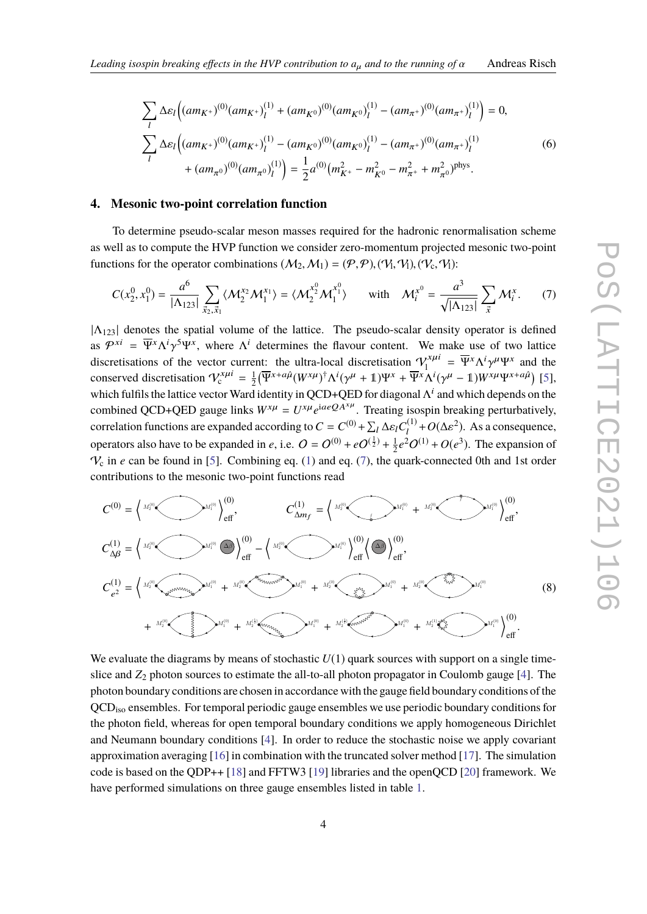$$
\sum_{l} \Delta \varepsilon_{l} \Big( (am_{K^{+}})^{(0)}(am_{K^{+}})^{(1)}_{l} + (am_{K^{0}})^{(0)}(am_{K^{0}})^{(1)}_{l} - (am_{\pi^{+}})^{(0)}(am_{\pi^{+}})^{(1)}_{l} \Big) = 0,
$$
\n
$$
\sum_{l} \Delta \varepsilon_{l} \Big( (am_{K^{+}})^{(0)}(am_{K^{+}})^{(1)}_{l} - (am_{K^{0}})^{(0)}(am_{K^{0}})^{(1)}_{l} - (am_{\pi^{+}})^{(0)}(am_{\pi^{+}})^{(1)}_{l} \Big) + (am_{\pi^{0}})^{(0)}(am_{\pi^{0}})^{(1)}_{l} \Big) = \frac{1}{2} a^{(0)}(m_{K^{+}}^{2} - m_{K^{0}}^{2} - m_{\pi^{+}}^{2} + m_{\pi^{0}}^{2})^{\text{phys}}.
$$
\n(6)

#### **4. Mesonic two-point correlation function**

To determine pseudo-scalar meson masses required for the hadronic renormalisation scheme as well as to compute the HVP function we consider zero-momentum projected mesonic two-point functions for the operator combinations  $(M_2, M_1) = (\mathcal{P}, \mathcal{P}), (\mathcal{V}_1, \mathcal{V}_1), (\mathcal{V}_c, \mathcal{V}_1)$ :

<span id="page-3-0"></span>
$$
C(x_2^0, x_1^0) = \frac{a^6}{|\Lambda_{123}|} \sum_{\vec{x}_2, \vec{x}_1} \langle \mathcal{M}_2^{x_2} \mathcal{M}_1^{x_1} \rangle = \langle \mathcal{M}_2^{x_2^0} \mathcal{M}_1^{x_1^0} \rangle \quad \text{with} \quad \mathcal{M}_i^{x^0} = \frac{a^3}{\sqrt{|\Lambda_{123}|}} \sum_{\vec{x}} \mathcal{M}_i^x. \tag{7}
$$

 $|\Lambda_{123}|$  denotes the spatial volume of the lattice. The pseudo-scalar density operator is defined as  $\mathcal{P}^{xi} = \overline{\Psi}^x \Lambda^i \gamma^5 \Psi^x$ , where  $\Lambda^i$  determines the flavour content. We make use of two lattice discretisations of the vector current: the ultra-local discretisation  $V_1^{x\mu i} = \overline{\Psi}^x \Lambda^i \gamma^\mu \Psi^x$  and the conserved discretisation  $V_c^{x\mu i} = \frac{1}{2} (\overline{\Psi}^{x+a\hat{\mu}} (W^{x\mu})^{\dagger} \Lambda^{i} (\gamma^{\mu}+1) \Psi^{x} + \overline{\Psi}^{x} \Lambda^{i} (\gamma^{\mu}-1) W^{x}$  $\frac{1}{2} \left( \overline{\Psi}^{x+a\hat{\mu}} (W^{x\mu})^{\dagger} \Lambda^{i} (\gamma^{\mu}+1) \Psi^{x} + \overline{\Psi}^{x} \Lambda^{i} (\gamma^{\mu}-1) W^{x\mu} \Psi^{x+a\hat{\mu}} \right)$  [\[5\]](#page-8-3), which fulfils the lattice vector Ward identity in QCD+QED for diagonal  $\Lambda^i$  and which depends on the combined QCD+QED gauge links  $W^{x\mu} = U^{x\mu}e^{iaeQA^{x\mu}}$ . Treating isospin breaking perturbatively, correlation functions are expanded according to  $C = C^{(0)} + \sum_l \Delta \varepsilon_l C_l^{(1)}$  $\frac{d^{(1)}}{d} + O(\Delta \varepsilon^2)$ . As a consequence, operators also have to be expanded in *e*, i.e.  $Q = Q^{(0)} + eQ^{(\frac{1}{2})} + \frac{1}{2}$  $\frac{1}{2}e^2O^{(1)} + O(e^3)$ . The expansion of  $V_c$  in *e* can be found in [\[5\]](#page-8-3). Combining eq. [\(1\)](#page-1-0) and eq. [\(7\)](#page-3-0), the quark-connected 0th and 1st order contributions to the mesonic two-point functions read



<span id="page-3-1"></span>We evaluate the diagrams by means of stochastic  $U(1)$  quark sources with support on a single timeslice and  $Z_2$  photon sources to estimate the all-to-all photon propagator in Coulomb gauge [\[4\]](#page-8-10). The photon boundary conditions are chosen in accordance with the gauge field boundary conditions of the QCDiso ensembles. For temporal periodic gauge ensembles we use periodic boundary conditions for the photon field, whereas for open temporal boundary conditions we apply homogeneous Dirichlet and Neumann boundary conditions [\[4\]](#page-8-10). In order to reduce the stochastic noise we apply covariant approximation averaging [\[16\]](#page-8-13) in combination with the truncated solver method [\[17\]](#page-8-14). The simulation code is based on the QDP++ [\[18\]](#page-8-15) and FFTW3 [\[19\]](#page-8-16) libraries and the openQCD [\[20\]](#page-8-17) framework. We have performed simulations on three gauge ensembles listed in table [1.](#page-4-0)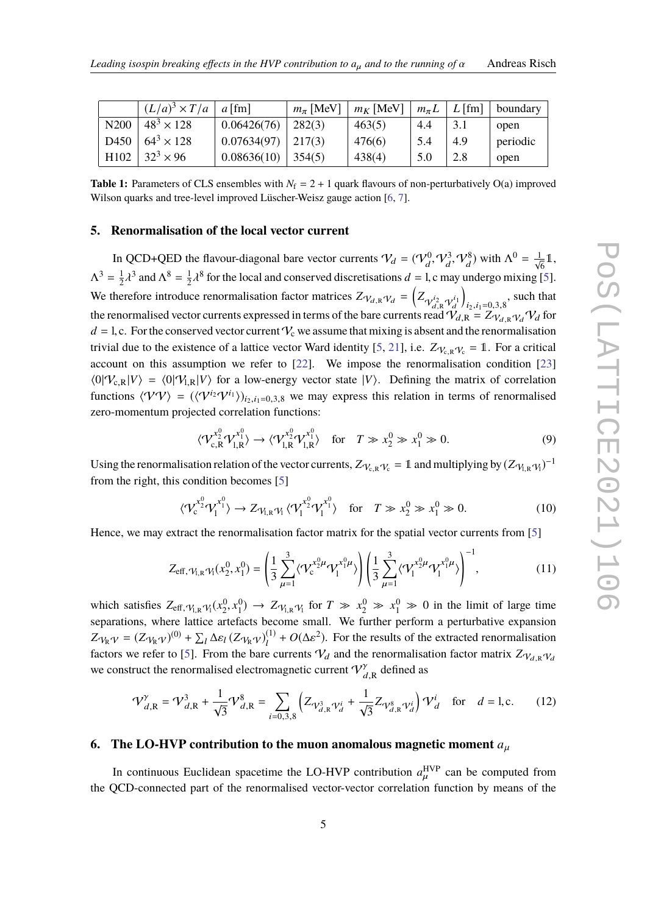<span id="page-4-0"></span>

|                  | $(L/a)^3 \times T/a$ | $a$ [fm]               | $m_\pi$ [MeV] | $m_K$ [MeV] |     | $m_{\pi}L \mid L$ [fm] | boundary |
|------------------|----------------------|------------------------|---------------|-------------|-----|------------------------|----------|
| N <sub>200</sub> | $48^{3} \times 128$  | 0.06426(76)            | 282(3)        | 463(5)      | 4.4 |                        | open     |
| D450             | $64^3 \times 128$    | $0.07634(97)$   217(3) |               | 476(6)      | 5.4 | 4.9                    | periodic |
| H102             | $32^3 \times 96$     | 0.08636(10)            | 354(5)        | 438(4)      | 5.0 | 2.8                    | open     |

**Table 1:** Parameters of CLS ensembles with  $N_f = 2 + 1$  quark flavours of non-perturbatively O(a) improved Wilson quarks and tree-level improved Lüscher-Weisz gauge action [\[6,](#page-8-4) [7\]](#page-8-18).

#### **5. Renormalisation of the local vector current**

In QCD+QED the flavour-diagonal bare vector currents  $V_d = (V_d^0, V_d^3, V_d^8)$  with  $\Lambda^0 = \frac{1}{\sqrt{6}} \mathbb{1}$ ,  $\Lambda^3 = \frac{1}{2}$  $\frac{1}{2}\lambda^3$  and  $\Lambda^8 = \frac{1}{2}$ λ λ  $\frac{1}{2}\lambda^8$  for the local and conserved discretisations  $d = 1$ , c may undergo mixing [\[5\]](#page-8-3). We therefore introduce renormalisation factor matrices  $Z_{V_{d,R}}V_d = \left(Z_{V_{d,R}^{i_2}V_d^{i_1}}\right)$ <br>the renormalised vector currents expressed in terms of the bere currents read  $\Omega$  $\Big)$ , such that the renormalised vector currents expressed in terms of the bare currents read  $V_{d,R} = Z_{V_{d,R}} V_{d} V_{d}$  for  $d = 1$ , c. For the conserved vector current  $V_c$  we assume that mixing is absent and the renormalisation trivial due to the existence of a lattice vector Ward identity [\[5,](#page-8-3) [21\]](#page-8-19), i.e.  $Z_{V_{cR}V_{c}} = 1$ . For a critical account on this assumption we refer to [\[22\]](#page-8-20). We impose the renormalisation condition [\[23\]](#page-8-21)  $\langle 0|\mathcal{V}_{c,R}|V\rangle = \langle 0|\mathcal{V}_{1,R}|V\rangle$  for a low-energy vector state  $|V\rangle$ . Defining the matrix of correlation functions  $\langle VV\rangle = (\langle V^{i_2}V^{i_1}\rangle)_{i_2,i_1=0,3,8}$  we may express this relation in terms of renormalised zero-momentum projected correlation functions:

$$
\langle \mathcal{V}_{c,R}^{x_2^0} \mathcal{V}_{l,R}^{x_1^0} \rangle \to \langle \mathcal{V}_{l,R}^{x_2^0} \mathcal{V}_{l,R}^{x_1^0} \rangle \quad \text{for} \quad T \gg x_2^0 \gg x_1^0 \gg 0. \tag{9}
$$

Using the renormalisation relation of the vector currents,  $Z_{V_{c,R}}v_c = 1$  and multiplying by  $(Z_{V_{l,R}}v_l)^{-1}$ from the right, this condition becomes [\[5\]](#page-8-3)

$$
\langle \mathcal{V}_c^{x_2^0} \mathcal{V}_1^{x_1^0} \rangle \to Z_{\mathcal{V}_{1,R}} \mathcal{V}_1 \langle \mathcal{V}_1^{x_2^0} \mathcal{V}_1^{x_1^0} \rangle \quad \text{for} \quad T \gg x_2^0 \gg x_1^0 \gg 0. \tag{10}
$$

Hence, we may extract the renormalisation factor matrix for the spatial vector currents from [\[5\]](#page-8-3)

$$
Z_{\text{eff},\gamma_{1,\text{R}}\gamma_{1}}(x_{2}^{0},x_{1}^{0}) = \left(\frac{1}{3}\sum_{\mu=1}^{3} \langle \mathcal{V}_{\text{c}}^{x_{2}^{0}\mu} \mathcal{V}_{1}^{x_{1}^{0}\mu} \rangle \right) \left(\frac{1}{3}\sum_{\mu=1}^{3} \langle \mathcal{V}_{1}^{x_{2}^{0}\mu} \mathcal{V}_{1}^{x_{1}^{0}\mu} \rangle \right)^{-1}, \tag{11}
$$

which satisfies  $Z_{\text{eff}, \gamma_{1,R} \gamma_1}(x_2^0, x_1^0) \rightarrow Z_{\gamma_{1,R} \gamma_1}$  for  $T \gg x_2^0 \gg x_1^0 \gg 0$  in the limit of large time separations, where lattice artefacts become small. We further perform a perturbative expansion  $Z_{\mathcal{V}_{R}\mathcal{V}} = (Z_{\mathcal{V}_{R}\mathcal{V}})^{(0)} + \sum_{l} \Delta \varepsilon_{l} (Z_{\mathcal{V}_{R}\mathcal{V}})^{(1)}_{l}$ <sup>(1)</sup> +  $O(\Delta \varepsilon^2)$ . For the results of the extracted renormalisation factors we refer to [\[5\]](#page-8-3). From the bare currents  $V_d$  and the renormalisation factor matrix  $Z_{V_{dR}V_d}$ we construct the renormalised electromagnetic current  $\mathcal{V}_{d,R}^{\gamma}$  defined as

$$
\mathcal{V}_{d,\mathbb{R}}^{\gamma} = \mathcal{V}_{d,\mathbb{R}}^3 + \frac{1}{\sqrt{3}} \mathcal{V}_{d,\mathbb{R}}^8 = \sum_{i=0,3,8} \left( Z_{\mathcal{V}_{d,\mathbb{R}}^3 \mathcal{V}_d^i} + \frac{1}{\sqrt{3}} Z_{\mathcal{V}_{d,\mathbb{R}}^8 \mathcal{V}_d^i} \right) \mathcal{V}_d^i \quad \text{for} \quad d = 1, \text{c.}
$$
 (12)

# <span id="page-4-1"></span>**6. The LO-HVP contribution to the muon anomalous magnetic moment** *<sup>a</sup>*µ

In continuous Euclidean spacetime the LO-HVP contribution  $a_{\mu}^{\text{HVP}}$  can be computed from the QCD-connected part of the renormalised vector-vector correlation function by means of the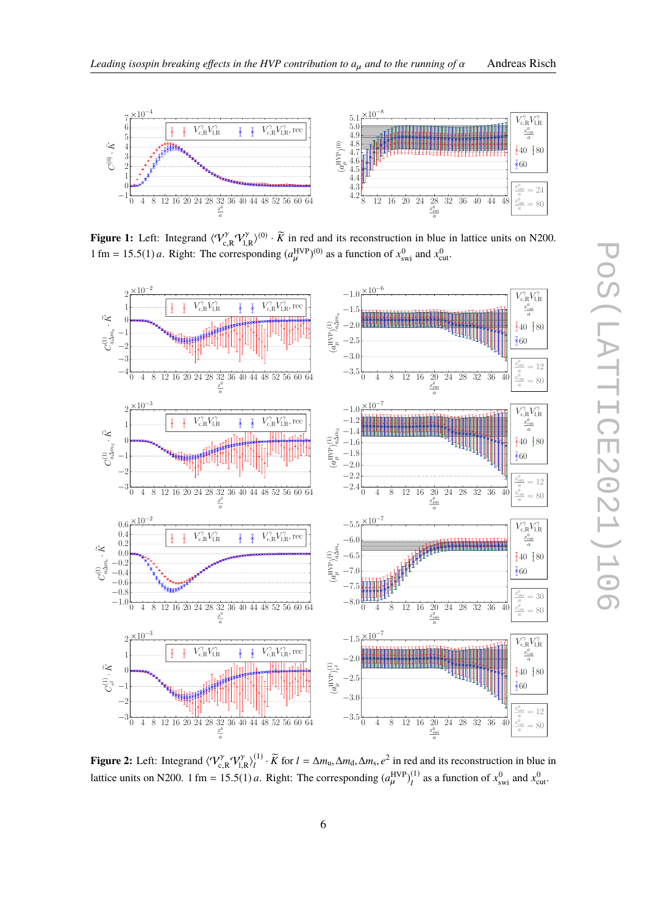

<span id="page-5-0"></span>

**Figure 1:** Left: Integrand  $\langle V_{c,R}^{\gamma} V_{R}^{\gamma} \rangle^{(0)} \cdot \tilde{K}$  in red and its reconstruction in blue in lattice units on N200. l,R 1 fm = 15.5(1) *a*. Right: The corresponding  $(a_{\mu}^{\text{HVP}})^{(0)}$  as a function of  $x_{\text{swi}}^0$  and  $x_{\text{cut}}^0$ .

 $\mathbf{r}$ 

<span id="page-5-1"></span>

**Figure 2:** Left: Integrand  $\langle V_{c,R}^{\gamma} V_{l,R}^{\gamma} \rangle_l^{(1)}$  $\frac{1}{4}$  $\overline{R}$  for *l* = ∆*m*<sub>u</sub>, ∆*m*<sub>d</sub>, ∆*m*<sub>s</sub>,  $e^2$  in red and its reconstruction in blue in lattice units on N200. 1 fm = 15.5(1) *a*. Right: The corresponding  $(a<sub>\mu</sub><sup>HVP</sup>$  $\binom{HVP}{\mu}$  $\binom{1}{l}$  $\chi_l^{(1)}$  as a function of  $x_{\text{swi}}^0$  and  $x_{\text{cut}}^0$ .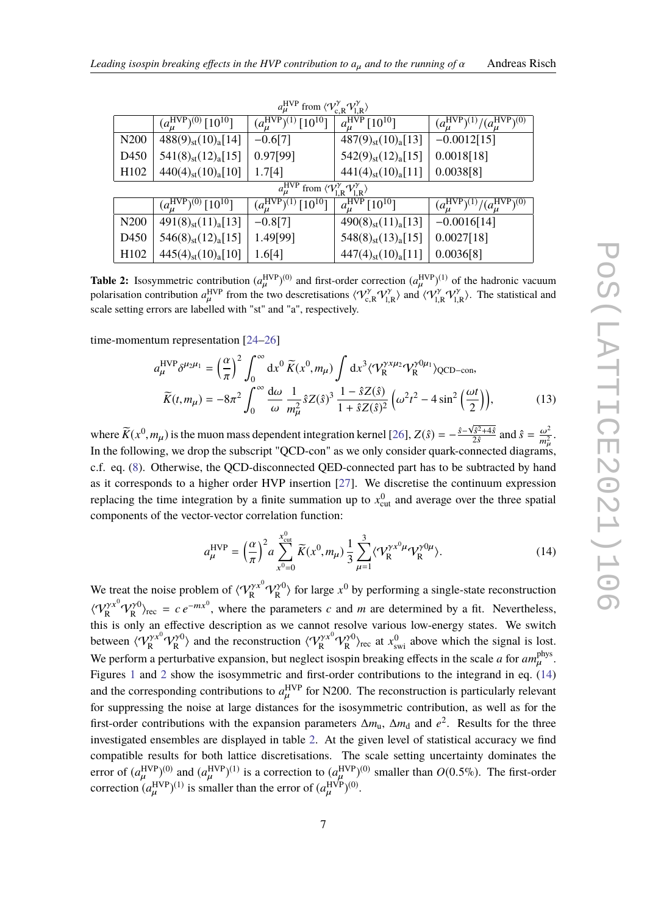<span id="page-6-1"></span>

| $a_{\mu}^{\text{HVP}}$ from $\langle V_{\text{c,R}}^{\gamma} V_{\text{I,R}}^{\gamma} \rangle$ |                                                 |                                                    |                                         |                                                       |  |  |  |  |
|-----------------------------------------------------------------------------------------------|-------------------------------------------------|----------------------------------------------------|-----------------------------------------|-------------------------------------------------------|--|--|--|--|
|                                                                                               | $(a_{\mu}^{\rm HVP})^{(0)}$ [10 <sup>10</sup> ] | $(a_{\mu}^{\rm HVP})^{(1)}$ $\overline{[10^{10}]}$ | $a_{\mu}^{\rm HVP}$ [10 <sup>10</sup> ] | $(a_{\mu}^{\rm HVP})^{(1)}/(a_{\mu}^{\rm HVP})^{(0)}$ |  |  |  |  |
| N <sub>200</sub>                                                                              | $488(9)_{st}(10)_{a}[14]$                       | $-0.6[7]$                                          | $487(9)_{st}(10)_{a}[13]$               | $-0.0012[15]$                                         |  |  |  |  |
| D <sub>450</sub>                                                                              | $541(8)_{st}(12)_{a}[15]$                       | 0.97[99]                                           | $542(9)_{st}(12)_{a}[15]$               | 0.0018[18]                                            |  |  |  |  |
| H <sub>102</sub>                                                                              | $440(4)_{st}(10)_{a}[10]$                       | 1.7[4]                                             | $441(4)_{st}(10)_{a}[11]$               | 0.0038[8]                                             |  |  |  |  |
| $a_{\mu}^{\text{HVP}}$ from $\langle V_{\text{l.R}}^{\gamma} V_{\text{l.R}}^{\gamma} \rangle$ |                                                 |                                                    |                                         |                                                       |  |  |  |  |
|                                                                                               | $(a_{\mu}^{\rm HVP})^{(0)}$ [10 <sup>10</sup> ] | $(a_{\mu}^{\rm HVP})^{(1)} [1\overline{0^{10}}]$   | $a_{\mu}^{\rm HVP}$ [10 <sup>10</sup> ] | $(a_{\mu}^{\rm HVP})^{(1)}/(a_{\mu}^{\rm HVP})^{(0)}$ |  |  |  |  |
| N <sub>200</sub>                                                                              | $491(8)_{st}(11)_{a}[13]$                       | $-0.8[7]$                                          | $490(8)_{st}(11)_{a}[13]$               | $-0.0016[14]$                                         |  |  |  |  |
| D <sub>450</sub>                                                                              | $546(8)_{st}(12)_{a}[15]$                       | 1.49[99]                                           | $548(8)_{st}(13)_{a}[15]$               | 0.0027[18]                                            |  |  |  |  |
| H <sub>102</sub>                                                                              | $445(4)_{st}(10)_{a}[10]$                       | 1.6[4]                                             | $447(4)_{st}(10)_{a}[11]$               | 0.0036[8]                                             |  |  |  |  |

**Table 2:** Isosymmetric contribution  $(a<sub>u</sub><sup>HVP</sup>)<sup>(0)</sup>$  and first-order correction  $(a<sub>u</sub><sup>HVP</sup>)<sup>(1)</sup>$  of the hadronic vacuum polarisation contribution  $a_{\mu}^{\text{HVP}}$  from the two descretisations  $\langle V_{c,R}^{\gamma} V_{l,R}^{\gamma} \rangle$  and  $\langle V_{l,R}^{\gamma} V_{l,R}^{\gamma} \rangle$ . The statistical and scale setting errors are labelled with "st" and "a" respectively. scale setting errors are labelled with "st" and "a", respectively.

time-momentum representation [\[24](#page-8-22)[–26\]](#page-8-23)

$$
a_{\mu}^{\text{HVP}} \delta^{\mu_2 \mu_1} = \left(\frac{\alpha}{\pi}\right)^2 \int_0^{\infty} dx^0 \, \widetilde{K}(x^0, m_{\mu}) \int dx^3 \langle \mathcal{V}_R^{\gamma x \mu_2} \mathcal{V}_R^{\gamma 0 \mu_1} \rangle_{\text{QCD-con}},
$$

$$
\widetilde{K}(t, m_{\mu}) = -8\pi^2 \int_0^{\infty} \frac{d\omega}{\omega} \, \frac{1}{m_{\mu}^2} \hat{s} Z(\hat{s})^3 \, \frac{1 - \hat{s} Z(\hat{s})}{1 + \hat{s} Z(\hat{s})^2} \left(\omega^2 t^2 - 4 \sin^2\left(\frac{\omega t}{2}\right)\right),\tag{13}
$$

where  $\widetilde{K}(x^0, m_\mu)$  is the muon mass dependent integration kernel [\[26\]](#page-8-23),  $Z(\hat{s}) = -\frac{\hat{s} - \sqrt{\hat{s}^2 + 4\hat{s}}}{2\hat{s}}$  $\frac{\sqrt{\hat{s}^2+4\hat{s}}}{2\hat{s}}$  and  $\hat{s} = \frac{\omega^2}{m_u^2}$ . In the following, we drop the subscript "QCD-con" as we only consider quark-connected diagrams, c.f. eq. [\(8\)](#page-3-1). Otherwise, the QCD-disconnected QED-connected part has to be subtracted by hand as it corresponds to a higher order HVP insertion [\[27\]](#page-8-24). We discretise the continuum expression replacing the time integration by a finite summation up to  $x_{\text{cut}}^0$  and average over the three spatial components of the vector-vector correlation function:

<span id="page-6-0"></span>
$$
a_{\mu}^{\text{HVP}} = \left(\frac{\alpha}{\pi}\right)^2 a \sum_{x^0=0}^{x_{\text{cut}}^0} \widetilde{K}(x^0, m_\mu) \frac{1}{3} \sum_{\mu=1}^3 \langle \mathcal{V}_R^{\gamma x^0 \mu} \mathcal{V}_R^{\gamma 0 \mu} \rangle. \tag{14}
$$

We treat the noise problem of  $\langle V_R^{\gamma x^0} V_R^{\gamma 0} \rangle$  for large  $x^0$  by performing a single-state reconstruction  $\langle V_R^{\gamma x^0} V_R^{\gamma 0} \rangle_{\text{rec}} = c e^{-mx^0}$ , where the parameters *c* and *m* are determined by a fit. Nevertheless, this is only an effective description as we cannot resolve various low-energy states. We switch between  $\langle V_R^{\gamma x^0} V_R^{\gamma 0} \rangle$  and the reconstruction  $\langle V_R^{\gamma x^0} V_R^{\gamma 0} \rangle_{\text{rec}}$  at  $x_{swi}^0$  above which the signal is lost. We perform a perturbative expansion, but neglect isospin breaking effects in the scale *a* for  $am_\mu^{\text{phys}}$ .<br>Figures 1, and 2 there the incrementational fact only a settiletime to the integrand in an (14) Figures [1](#page-5-0) and [2](#page-5-1) show the isosymmetric and first-order contributions to the integrand in eq. [\(14\)](#page-6-0) and the corresponding contributions to  $a_{\mu}^{\text{HVP}}$  for N200. The reconstruction is particularly relevant for suppressing the noise at large distances for the isosymmetric contribution, as well as for the first-order contributions with the expansion parameters  $\Delta m_{\rm u}$ ,  $\Delta m_{\rm d}$  and  $e^2$ . Results for the three investigated ensembles are displayed in table [2.](#page-6-1) At the given level of statistical accuracy we find compatible results for both lattice discretisations. The scale setting uncertainty dominates the error of  $(a_{\mu}^{\text{HVP}})^{(0)}$  and  $(a_{\mu}^{\text{HVP}})^{(1)}$  is a correction to  $(a_{\mu}^{\text{HVP}})^{(0)}$  smaller than  $O(0.5\%)$ . The first-order correction  $(a<sub>u</sub><sup>HVP</sup>)<sup>(1)</sup>$  is smaller than the error of  $(a<sub>u</sub><sup>HVP</sup>)<sup>(0)</sup>$ .  $\overline{a}$  $\overline{a}$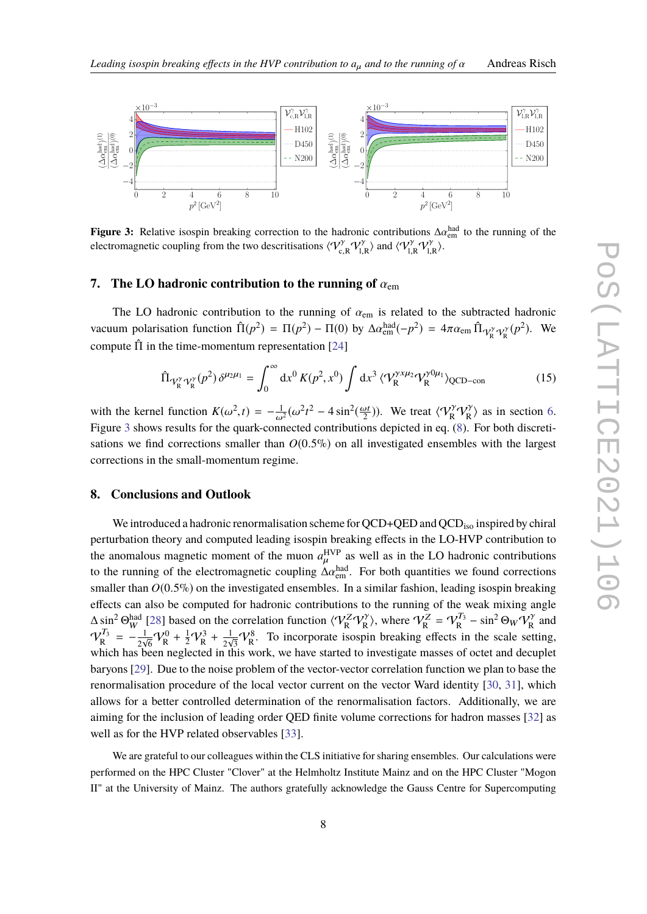

<span id="page-7-0"></span>

**Figure 3:** Relative isospin breaking correction to the hadronic contributions  $\Delta \alpha_{\text{em}}^{\text{had}}$  to the running of the electromographic coupling from the two descritiestions  $\langle \mathcal{Q}^{\gamma}, \mathcal{Q}^{\gamma} \rangle$  and  $\langle \mathcal{Q}^{\gamma}, \math$ electromagnetic coupling from the two descritisations  $\langle V_{c,R}^{\gamma} V_{l,R}^{\gamma} \rangle$  and  $\langle V_{l,R}^{\gamma} V_{l,R}^{\gamma} \rangle$ .

## **7.** The LO hadronic contribution to the running of  $\alpha_{\text{em}}$

The LO hadronic contribution to the running of  $\alpha_{em}$  is related to the subtracted hadronic vacuum polarisation function  $\hat{\Pi}(p^2) = \Pi(p^2) - \Pi(0)$  by  $\Delta \alpha_{em}^{\text{had}}(-p^2) = 4\pi \alpha_{em} \hat{\Pi}_{\mathcal{V}_{R}^{\gamma} \mathcal{V}_{R}^{\gamma}}(p^2)$ . We compute  $\hat{\Pi}$  in the time-momentum representation [\[24\]](#page-8-22)

$$
\hat{\Pi}_{\mathcal{V}_{\mathcal{R}}^{\gamma}\mathcal{V}_{\mathcal{R}}^{\gamma}}(p^2)\,\delta^{\mu_2\mu_1} = \int_0^\infty dx^0 \,K(p^2, x^0) \int dx^3 \,\langle \mathcal{V}_{\mathcal{R}}^{\gamma x\mu_2} \mathcal{V}_{\mathcal{R}}^{\gamma 0\mu_1} \rangle_{\text{QCD-con}} \tag{15}
$$

with the kernel function  $K(\omega^2, t) = -\frac{1}{\omega^2}(\omega^2 t^2 - 4 \sin^2(\frac{\omega t}{2}))$ . We treat  $\langle V_R^{\gamma} V_R^{\gamma} \rangle$  as in section [6.](#page-4-1)<br>Figure 3 shows results for the quark-connected contributions depicted in eq. (8). For both discreti-Figure [3](#page-7-0) shows results for the quark-connected contributions depicted in eq. [\(8\)](#page-3-1). For both discretisations we find corrections smaller than  $O(0.5\%)$  on all investigated ensembles with the largest corrections in the small-momentum regime.

# **8. Conclusions and Outlook**

We introduced a hadronic renormalisation scheme for  $QCD+QED$  and  $QCD<sub>iso</sub>$  inspired by chiral perturbation theory and computed leading isospin breaking effects in the LO-HVP contribution to the anomalous magnetic moment of the muon  $a_{\mu}^{\text{HVP}}$  as well as in the LO hadronic contributions to the running of the electromagnetic coupling  $\Delta \alpha_{em}^{had}$ . For both quantities we found corrections appellent than  $O(0.5\%)$  on the investigated appenbles. In a similar faction, leading isosnic bracking smaller than  $O(0.5\%)$  on the investigated ensembles. In a similar fashion, leading isospin breaking effects can also be computed for hadronic contributions to the running of the weak mixing angle  $\Delta \sin^2 \Theta_W^{\text{had}}$  [\[28\]](#page-8-25) based on the correlation function  $\langle V_R^Z V_R^{\gamma} \rangle$ , where  $V_R^Z = V_R^{T_3}$  $p_R^{T_3}$  – sin<sup>2</sup>  $\Theta_W V_R^{\gamma}$  and  $\mathcal{V}^{T_3}_\mathbf{p}$  $r_{{\rm R}}^{T_3} = -\frac{1}{2\nu}$  $\frac{1}{2\sqrt{6}}V_R^0 + \frac{1}{2}V_R^3 + \frac{1}{2\nu}$  $\frac{1}{2\sqrt{3}}V_R^8$ . To incorporate isospin breaking effects in the scale setting, which has been neglected in this work, we have started to investigate masses of octet and decuplet baryons [\[29\]](#page-8-26). Due to the noise problem of the vector-vector correlation function we plan to base the renormalisation procedure of the local vector current on the vector Ward identity [\[30,](#page-8-27) [31\]](#page-8-28), which allows for a better controlled determination of the renormalisation factors. Additionally, we are aiming for the inclusion of leading order QED finite volume corrections for hadron masses [\[32\]](#page-8-29) as well as for the HVP related observables [\[33\]](#page-8-30).

We are grateful to our colleagues within the CLS initiative for sharing ensembles. Our calculations were performed on the HPC Cluster "Clover" at the Helmholtz Institute Mainz and on the HPC Cluster "Mogon II" at the University of Mainz. The authors gratefully acknowledge the Gauss Centre for Supercomputing